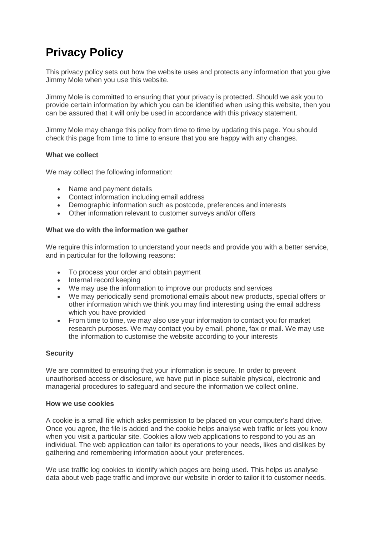# **Privacy Policy**

This privacy policy sets out how the website uses and protects any information that you give Jimmy Mole when you use this website.

Jimmy Mole is committed to ensuring that your privacy is protected. Should we ask you to provide certain information by which you can be identified when using this website, then you can be assured that it will only be used in accordance with this privacy statement.

Jimmy Mole may change this policy from time to time by updating this page. You should check this page from time to time to ensure that you are happy with any changes.

## **What we collect**

We may collect the following information:

- Name and payment details
- Contact information including email address
- Demographic information such as postcode, preferences and interests
- Other information relevant to customer surveys and/or offers

## **What we do with the information we gather**

We require this information to understand your needs and provide you with a better service, and in particular for the following reasons:

- To process your order and obtain payment
- Internal record keeping
- We may use the information to improve our products and services
- We may periodically send promotional emails about new products, special offers or other information which we think you may find interesting using the email address which you have provided
- From time to time, we may also use your information to contact you for market research purposes. We may contact you by email, phone, fax or mail. We may use the information to customise the website according to your interests

# **Security**

We are committed to ensuring that your information is secure. In order to prevent unauthorised access or disclosure, we have put in place suitable physical, electronic and managerial procedures to safeguard and secure the information we collect online.

#### **How we use cookies**

A cookie is a small file which asks permission to be placed on your computer's hard drive. Once you agree, the file is added and the cookie helps analyse web traffic or lets you know when you visit a particular site. Cookies allow web applications to respond to you as an individual. The web application can tailor its operations to your needs, likes and dislikes by gathering and remembering information about your preferences.

We use traffic log cookies to identify which pages are being used. This helps us analyse data about web page traffic and improve our website in order to tailor it to customer needs.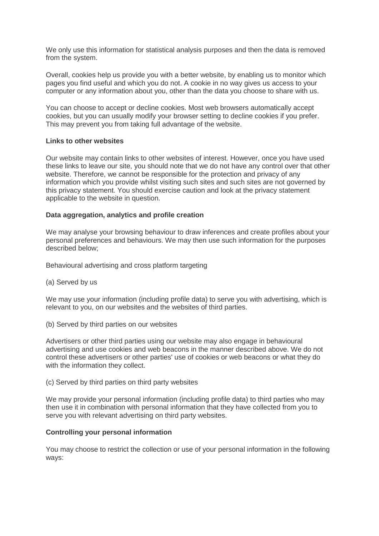We only use this information for statistical analysis purposes and then the data is removed from the system.

Overall, cookies help us provide you with a better website, by enabling us to monitor which pages you find useful and which you do not. A cookie in no way gives us access to your computer or any information about you, other than the data you choose to share with us.

You can choose to accept or decline cookies. Most web browsers automatically accept cookies, but you can usually modify your browser setting to decline cookies if you prefer. This may prevent you from taking full advantage of the website.

## **Links to other websites**

Our website may contain links to other websites of interest. However, once you have used these links to leave our site, you should note that we do not have any control over that other website. Therefore, we cannot be responsible for the protection and privacy of any information which you provide whilst visiting such sites and such sites are not governed by this privacy statement. You should exercise caution and look at the privacy statement applicable to the website in question.

## **Data aggregation, analytics and profile creation**

We may analyse your browsing behaviour to draw inferences and create profiles about your personal preferences and behaviours. We may then use such information for the purposes described below;

Behavioural advertising and cross platform targeting

(a) Served by us

We may use your information (including profile data) to serve you with advertising, which is relevant to you, on our websites and the websites of third parties.

(b) Served by third parties on our websites

Advertisers or other third parties using our website may also engage in behavioural advertising and use cookies and web beacons in the manner described above. We do not control these advertisers or other parties' use of cookies or web beacons or what they do with the information they collect.

(c) Served by third parties on third party websites

We may provide your personal information (including profile data) to third parties who may then use it in combination with personal information that they have collected from you to serve you with relevant advertising on third party websites.

# **Controlling your personal information**

You may choose to restrict the collection or use of your personal information in the following ways: